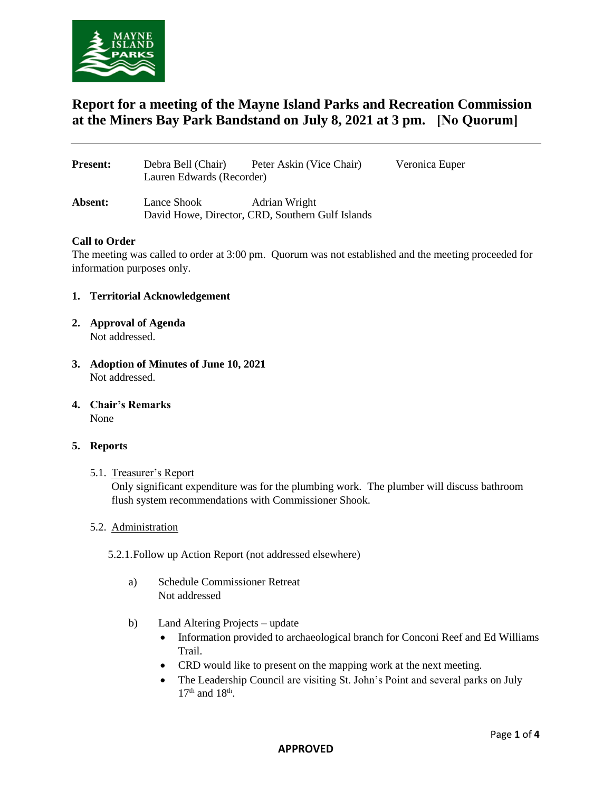

# **Report for a meeting of the Mayne Island Parks and Recreation Commission at the Miners Bay Park Bandstand on July 8, 2021 at 3 pm. [No Quorum]**

| <b>Present:</b> | Debra Bell (Chair)<br>Lauren Edwards (Recorder) | Peter Askin (Vice Chair)                                          | Veronica Euper |
|-----------------|-------------------------------------------------|-------------------------------------------------------------------|----------------|
| Absent:         | Lance Shook                                     | Adrian Wright<br>David Howe, Director, CRD, Southern Gulf Islands |                |

# **Call to Order**

The meeting was called to order at 3:00 pm. Quorum was not established and the meeting proceeded for information purposes only.

- **1. Territorial Acknowledgement**
- **2. Approval of Agenda** Not addressed.
- **3. Adoption of Minutes of June 10, 2021** Not addressed.
- **4. Chair's Remarks** None

# **5. Reports**

5.1. Treasurer's Report

Only significant expenditure was for the plumbing work. The plumber will discuss bathroom flush system recommendations with Commissioner Shook.

- 5.2. Administration
	- 5.2.1.Follow up Action Report (not addressed elsewhere)
		- a) Schedule Commissioner Retreat Not addressed
		- b) Land Altering Projects update
			- Information provided to archaeological branch for Conconi Reef and Ed Williams Trail.
			- CRD would like to present on the mapping work at the next meeting.
			- The Leadership Council are visiting St. John's Point and several parks on July  $17<sup>th</sup>$  and  $18<sup>th</sup>$ .

#### **APPROVED**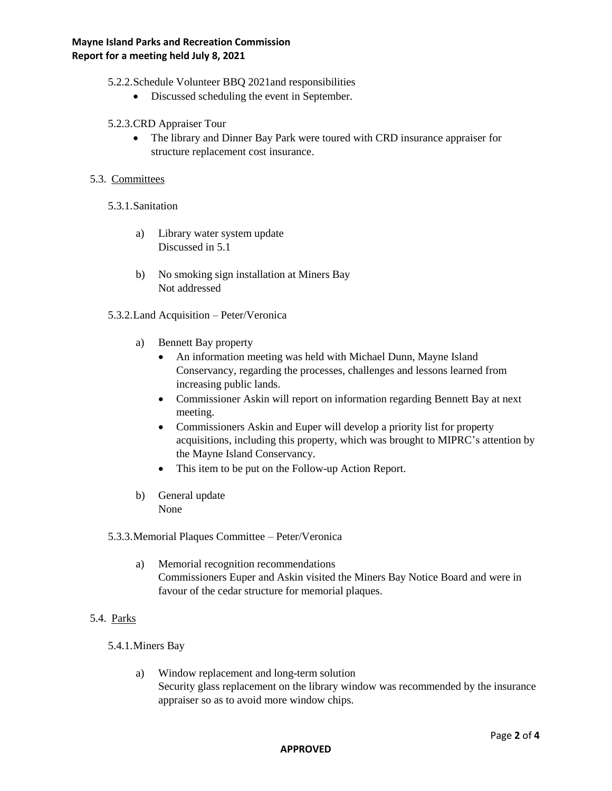5.2.2.Schedule Volunteer BBQ 2021and responsibilities

- Discussed scheduling the event in September.
- 5.2.3.CRD Appraiser Tour
	- The library and Dinner Bay Park were toured with CRD insurance appraiser for structure replacement cost insurance.

# 5.3. Committees

- 5.3.1.Sanitation
	- a) Library water system update Discussed in 5.1
	- b) No smoking sign installation at Miners Bay Not addressed
- 5.3.2.Land Acquisition Peter/Veronica
	- a) Bennett Bay property
		- An information meeting was held with Michael Dunn, Mayne Island Conservancy, regarding the processes, challenges and lessons learned from increasing public lands.
		- Commissioner Askin will report on information regarding Bennett Bay at next meeting.
		- Commissioners Askin and Euper will develop a priority list for property acquisitions, including this property, which was brought to MIPRC's attention by the Mayne Island Conservancy.
		- This item to be put on the Follow-up Action Report.
	- b) General update None

# 5.3.3.Memorial Plaques Committee – Peter/Veronica

- a) Memorial recognition recommendations Commissioners Euper and Askin visited the Miners Bay Notice Board and were in favour of the cedar structure for memorial plaques.
- 5.4. Parks
	- 5.4.1.Miners Bay
		- a) Window replacement and long-term solution Security glass replacement on the library window was recommended by the insurance appraiser so as to avoid more window chips.

#### **APPROVED**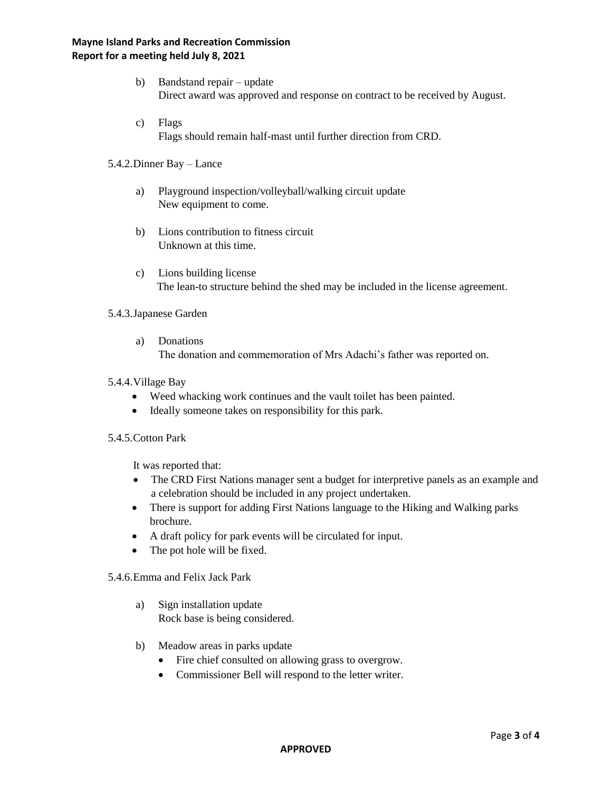# **Mayne Island Parks and Recreation Commission Report for a meeting held July 8, 2021**

- b) Bandstand repair update Direct award was approved and response on contract to be received by August.
- c) Flags Flags should remain half-mast until further direction from CRD.
- 5.4.2.Dinner Bay Lance
	- a) Playground inspection/volleyball/walking circuit update New equipment to come.
	- b) Lions contribution to fitness circuit Unknown at this time.
	- c) Lions building license The lean-to structure behind the shed may be included in the license agreement.

### 5.4.3.Japanese Garden

a) Donations

The donation and commemoration of Mrs Adachi's father was reported on.

### 5.4.4.Village Bay

- Weed whacking work continues and the vault toilet has been painted.
- Ideally someone takes on responsibility for this park.

#### 5.4.5.Cotton Park

It was reported that:

- The CRD First Nations manager sent a budget for interpretive panels as an example and a celebration should be included in any project undertaken.
- There is support for adding First Nations language to the Hiking and Walking parks brochure.
- A draft policy for park events will be circulated for input.
- The pot hole will be fixed.

### 5.4.6.Emma and Felix Jack Park

- a) Sign installation update Rock base is being considered.
- b) Meadow areas in parks update
	- Fire chief consulted on allowing grass to overgrow.
	- Commissioner Bell will respond to the letter writer.